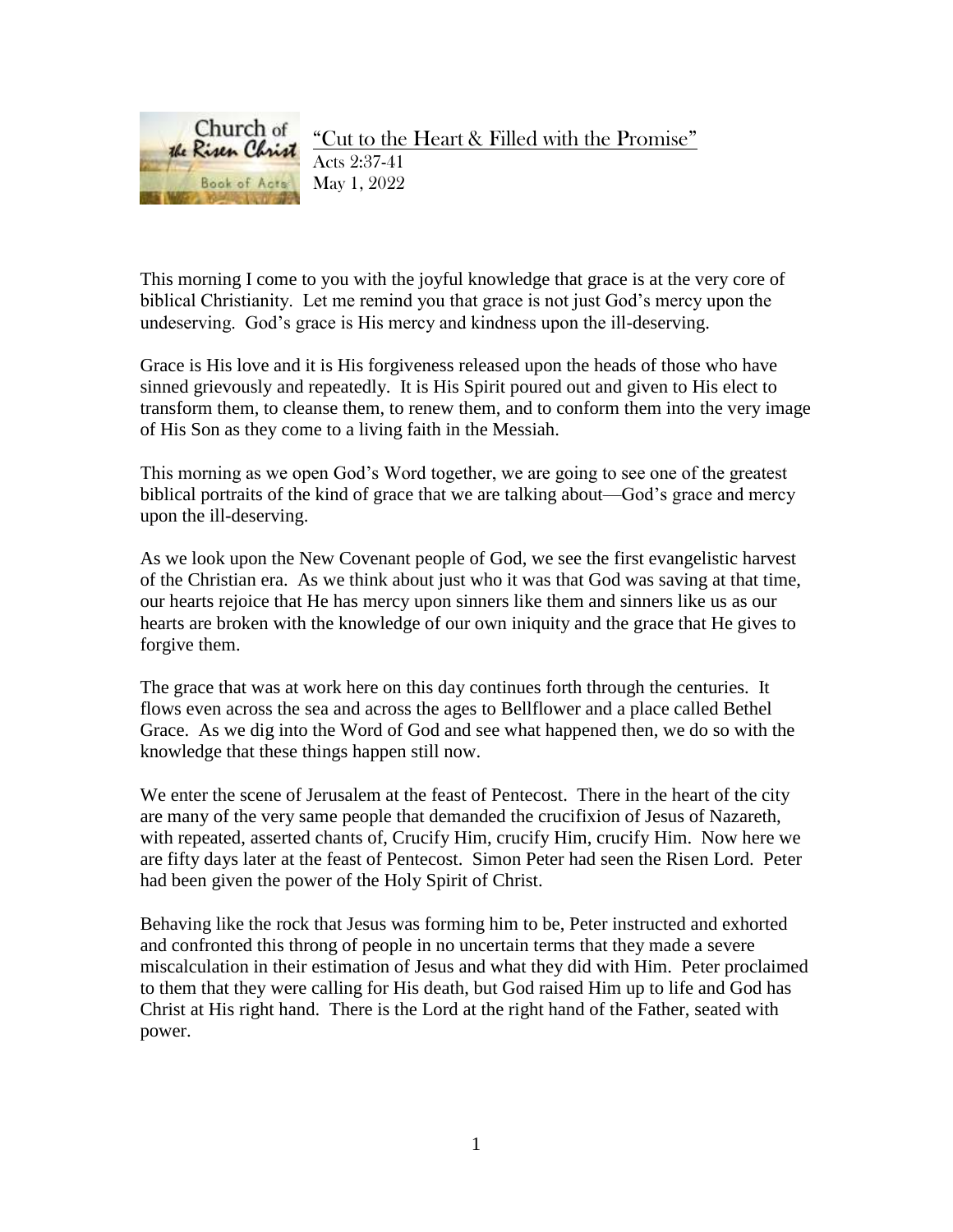

This morning I come to you with the joyful knowledge that grace is at the very core of biblical Christianity. Let me remind you that grace is not just God's mercy upon the undeserving. God's grace is His mercy and kindness upon the ill-deserving.

Grace is His love and it is His forgiveness released upon the heads of those who have sinned grievously and repeatedly. It is His Spirit poured out and given to His elect to transform them, to cleanse them, to renew them, and to conform them into the very image of His Son as they come to a living faith in the Messiah.

This morning as we open God's Word together, we are going to see one of the greatest biblical portraits of the kind of grace that we are talking about—God's grace and mercy upon the ill-deserving.

As we look upon the New Covenant people of God, we see the first evangelistic harvest of the Christian era. As we think about just who it was that God was saving at that time, our hearts rejoice that He has mercy upon sinners like them and sinners like us as our hearts are broken with the knowledge of our own iniquity and the grace that He gives to forgive them.

The grace that was at work here on this day continues forth through the centuries. It flows even across the sea and across the ages to Bellflower and a place called Bethel Grace. As we dig into the Word of God and see what happened then, we do so with the knowledge that these things happen still now.

We enter the scene of Jerusalem at the feast of Pentecost. There in the heart of the city are many of the very same people that demanded the crucifixion of Jesus of Nazareth, with repeated, asserted chants of, Crucify Him, crucify Him, crucify Him. Now here we are fifty days later at the feast of Pentecost. Simon Peter had seen the Risen Lord. Peter had been given the power of the Holy Spirit of Christ.

Behaving like the rock that Jesus was forming him to be, Peter instructed and exhorted and confronted this throng of people in no uncertain terms that they made a severe miscalculation in their estimation of Jesus and what they did with Him. Peter proclaimed to them that they were calling for His death, but God raised Him up to life and God has Christ at His right hand. There is the Lord at the right hand of the Father, seated with power.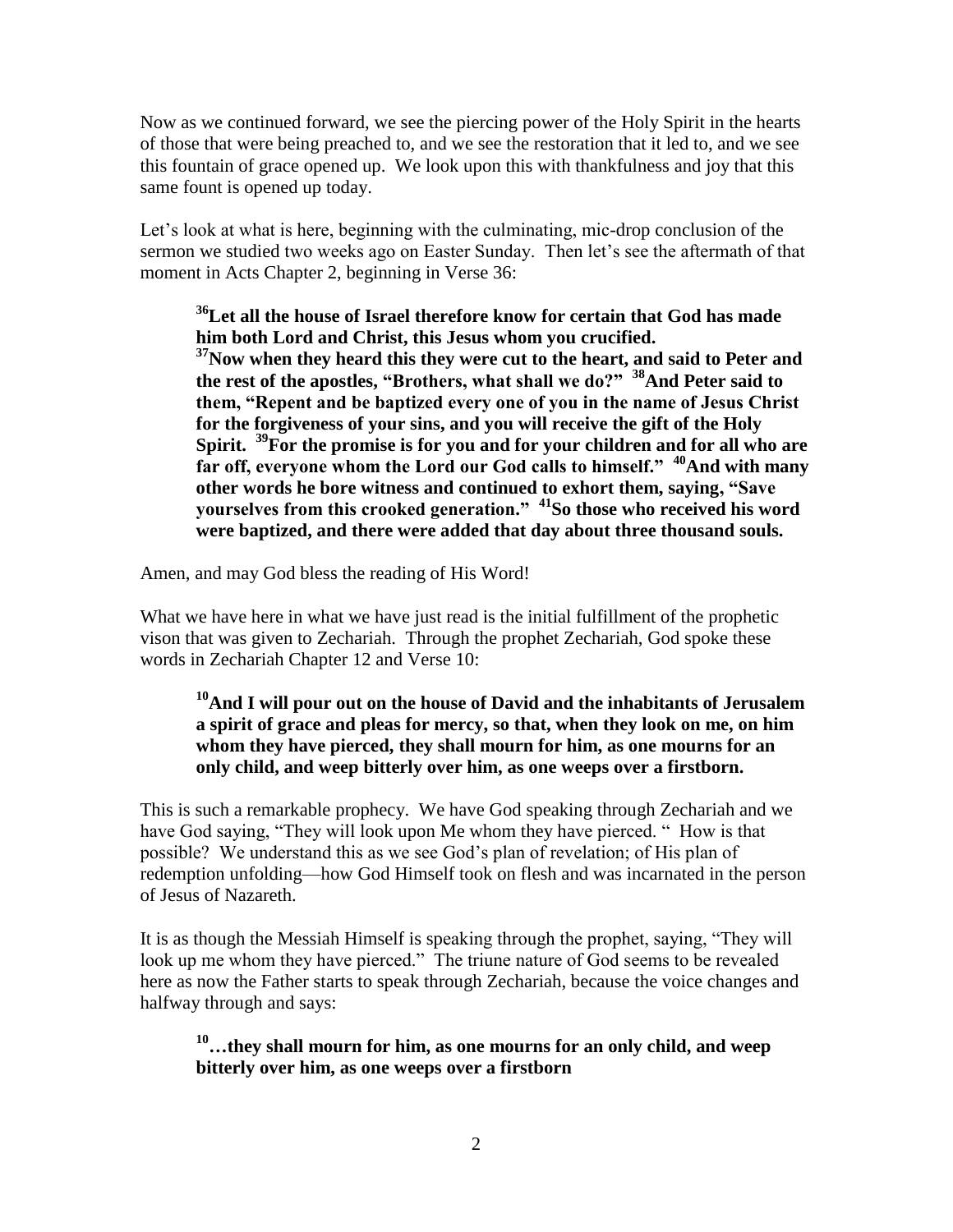Now as we continued forward, we see the piercing power of the Holy Spirit in the hearts of those that were being preached to, and we see the restoration that it led to, and we see this fountain of grace opened up. We look upon this with thankfulness and joy that this same fount is opened up today.

Let's look at what is here, beginning with the culminating, mic-drop conclusion of the sermon we studied two weeks ago on Easter Sunday. Then let's see the aftermath of that moment in Acts Chapter 2, beginning in Verse 36:

**<sup>36</sup>Let all the house of Israel therefore know for certain that God has made him both Lord and Christ, this Jesus whom you crucified. <sup>37</sup>Now when they heard this they were cut to the heart, and said to Peter and the rest of the apostles, "Brothers, what shall we do?" <sup>38</sup>And Peter said to them, "Repent and be baptized every one of you in the name of Jesus Christ for the forgiveness of your sins, and you will receive the gift of the Holy Spirit. <sup>39</sup>For the promise is for you and for your children and for all who are far off, everyone whom the Lord our God calls to himself." <sup>40</sup>And with many other words he bore witness and continued to exhort them, saying, "Save yourselves from this crooked generation." <sup>41</sup>So those who received his word were baptized, and there were added that day about three thousand souls.**

Amen, and may God bless the reading of His Word!

What we have here in what we have just read is the initial fulfillment of the prophetic vison that was given to Zechariah. Through the prophet Zechariah, God spoke these words in Zechariah Chapter 12 and Verse 10:

### **<sup>10</sup>And I will pour out on the house of David and the inhabitants of Jerusalem a spirit of grace and pleas for mercy, so that, when they look on me, on him whom they have pierced, they shall mourn for him, as one mourns for an only child, and weep bitterly over him, as one weeps over a firstborn.**

This is such a remarkable prophecy. We have God speaking through Zechariah and we have God saying, "They will look upon Me whom they have pierced. " How is that possible? We understand this as we see God's plan of revelation; of His plan of redemption unfolding—how God Himself took on flesh and was incarnated in the person of Jesus of Nazareth.

It is as though the Messiah Himself is speaking through the prophet, saying, "They will look up me whom they have pierced." The triune nature of God seems to be revealed here as now the Father starts to speak through Zechariah, because the voice changes and halfway through and says:

**<sup>10</sup>…they shall mourn for him, as one mourns for an only child, and weep bitterly over him, as one weeps over a firstborn**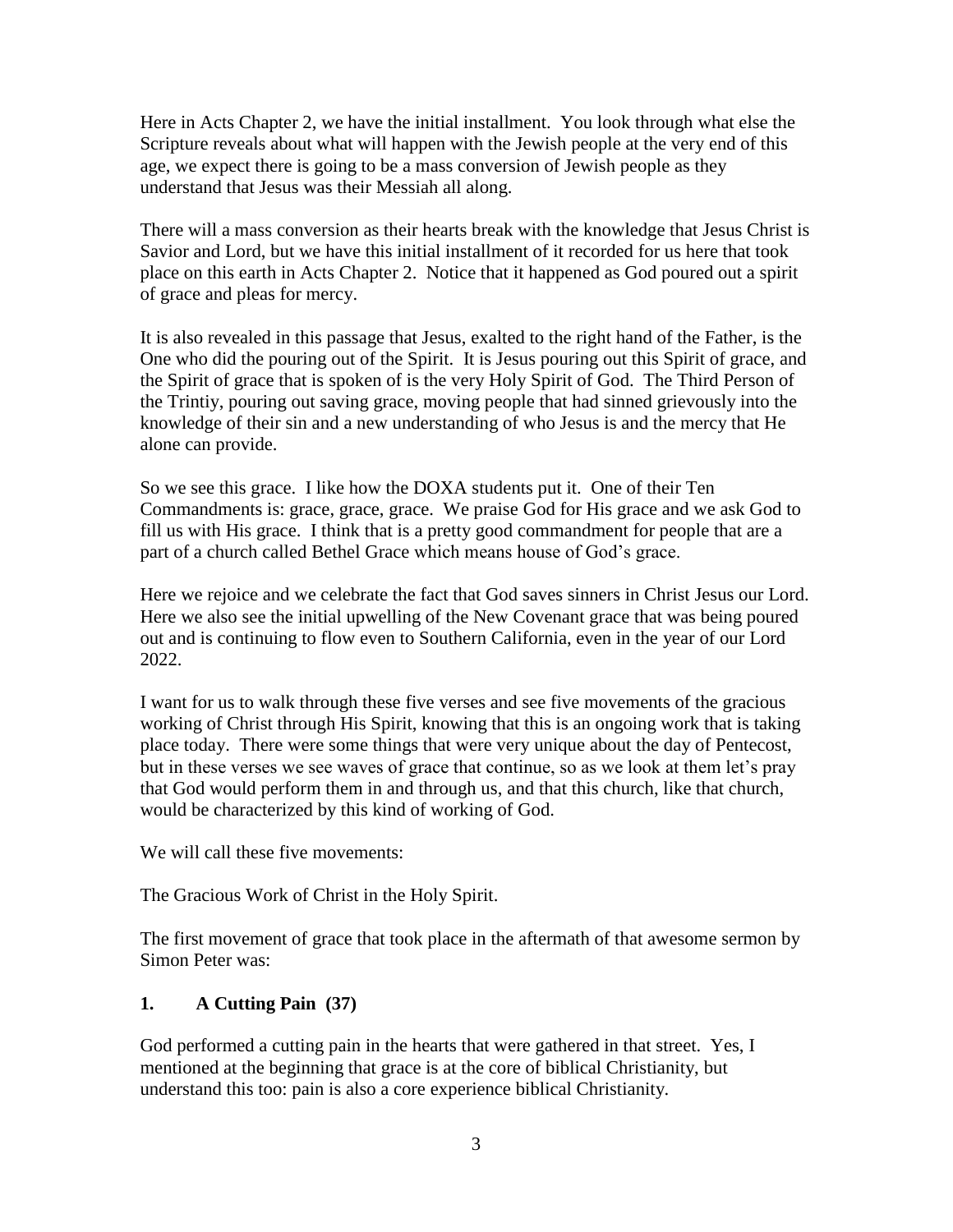Here in Acts Chapter 2, we have the initial installment. You look through what else the Scripture reveals about what will happen with the Jewish people at the very end of this age, we expect there is going to be a mass conversion of Jewish people as they understand that Jesus was their Messiah all along.

There will a mass conversion as their hearts break with the knowledge that Jesus Christ is Savior and Lord, but we have this initial installment of it recorded for us here that took place on this earth in Acts Chapter 2. Notice that it happened as God poured out a spirit of grace and pleas for mercy.

It is also revealed in this passage that Jesus, exalted to the right hand of the Father, is the One who did the pouring out of the Spirit. It is Jesus pouring out this Spirit of grace, and the Spirit of grace that is spoken of is the very Holy Spirit of God. The Third Person of the Trintiy, pouring out saving grace, moving people that had sinned grievously into the knowledge of their sin and a new understanding of who Jesus is and the mercy that He alone can provide.

So we see this grace. I like how the DOXA students put it. One of their Ten Commandments is: grace, grace, grace. We praise God for His grace and we ask God to fill us with His grace. I think that is a pretty good commandment for people that are a part of a church called Bethel Grace which means house of God's grace.

Here we rejoice and we celebrate the fact that God saves sinners in Christ Jesus our Lord. Here we also see the initial upwelling of the New Covenant grace that was being poured out and is continuing to flow even to Southern California, even in the year of our Lord 2022.

I want for us to walk through these five verses and see five movements of the gracious working of Christ through His Spirit, knowing that this is an ongoing work that is taking place today. There were some things that were very unique about the day of Pentecost, but in these verses we see waves of grace that continue, so as we look at them let's pray that God would perform them in and through us, and that this church, like that church, would be characterized by this kind of working of God.

We will call these five movements:

The Gracious Work of Christ in the Holy Spirit.

The first movement of grace that took place in the aftermath of that awesome sermon by Simon Peter was:

#### **1. A Cutting Pain (37)**

God performed a cutting pain in the hearts that were gathered in that street. Yes, I mentioned at the beginning that grace is at the core of biblical Christianity, but understand this too: pain is also a core experience biblical Christianity.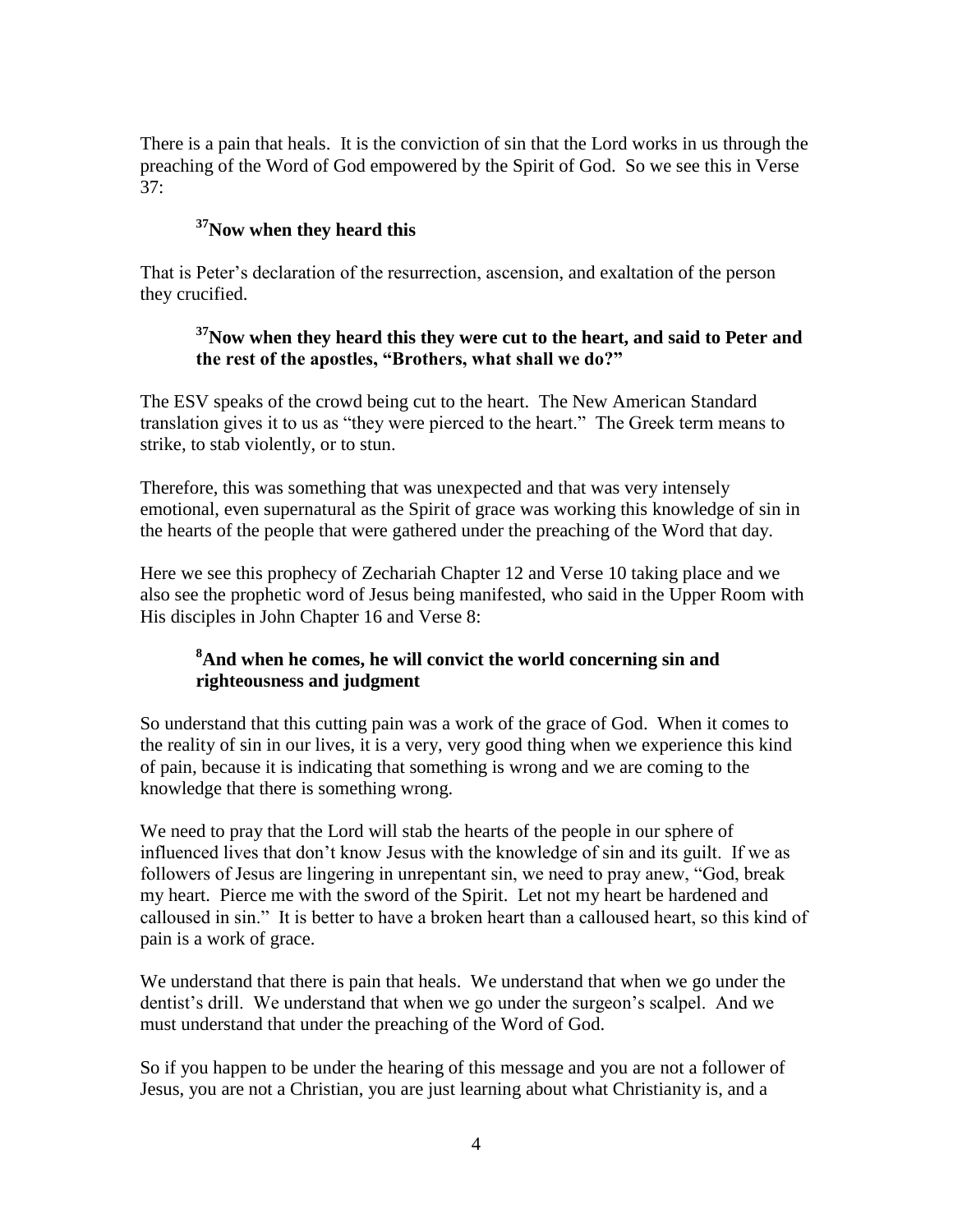There is a pain that heals. It is the conviction of sin that the Lord works in us through the preaching of the Word of God empowered by the Spirit of God. So we see this in Verse 37:

### **<sup>37</sup>Now when they heard this**

That is Peter's declaration of the resurrection, ascension, and exaltation of the person they crucified.

# **<sup>37</sup>Now when they heard this they were cut to the heart, and said to Peter and the rest of the apostles, "Brothers, what shall we do?"**

The ESV speaks of the crowd being cut to the heart. The New American Standard translation gives it to us as "they were pierced to the heart." The Greek term means to strike, to stab violently, or to stun.

Therefore, this was something that was unexpected and that was very intensely emotional, even supernatural as the Spirit of grace was working this knowledge of sin in the hearts of the people that were gathered under the preaching of the Word that day.

Here we see this prophecy of Zechariah Chapter 12 and Verse 10 taking place and we also see the prophetic word of Jesus being manifested, who said in the Upper Room with His disciples in John Chapter 16 and Verse 8:

#### **<sup>8</sup>And when he comes, he will convict the world concerning sin and righteousness and judgment**

So understand that this cutting pain was a work of the grace of God. When it comes to the reality of sin in our lives, it is a very, very good thing when we experience this kind of pain, because it is indicating that something is wrong and we are coming to the knowledge that there is something wrong.

We need to pray that the Lord will stab the hearts of the people in our sphere of influenced lives that don't know Jesus with the knowledge of sin and its guilt. If we as followers of Jesus are lingering in unrepentant sin, we need to pray anew, "God, break my heart. Pierce me with the sword of the Spirit. Let not my heart be hardened and calloused in sin." It is better to have a broken heart than a calloused heart, so this kind of pain is a work of grace.

We understand that there is pain that heals. We understand that when we go under the dentist's drill. We understand that when we go under the surgeon's scalpel. And we must understand that under the preaching of the Word of God.

So if you happen to be under the hearing of this message and you are not a follower of Jesus, you are not a Christian, you are just learning about what Christianity is, and a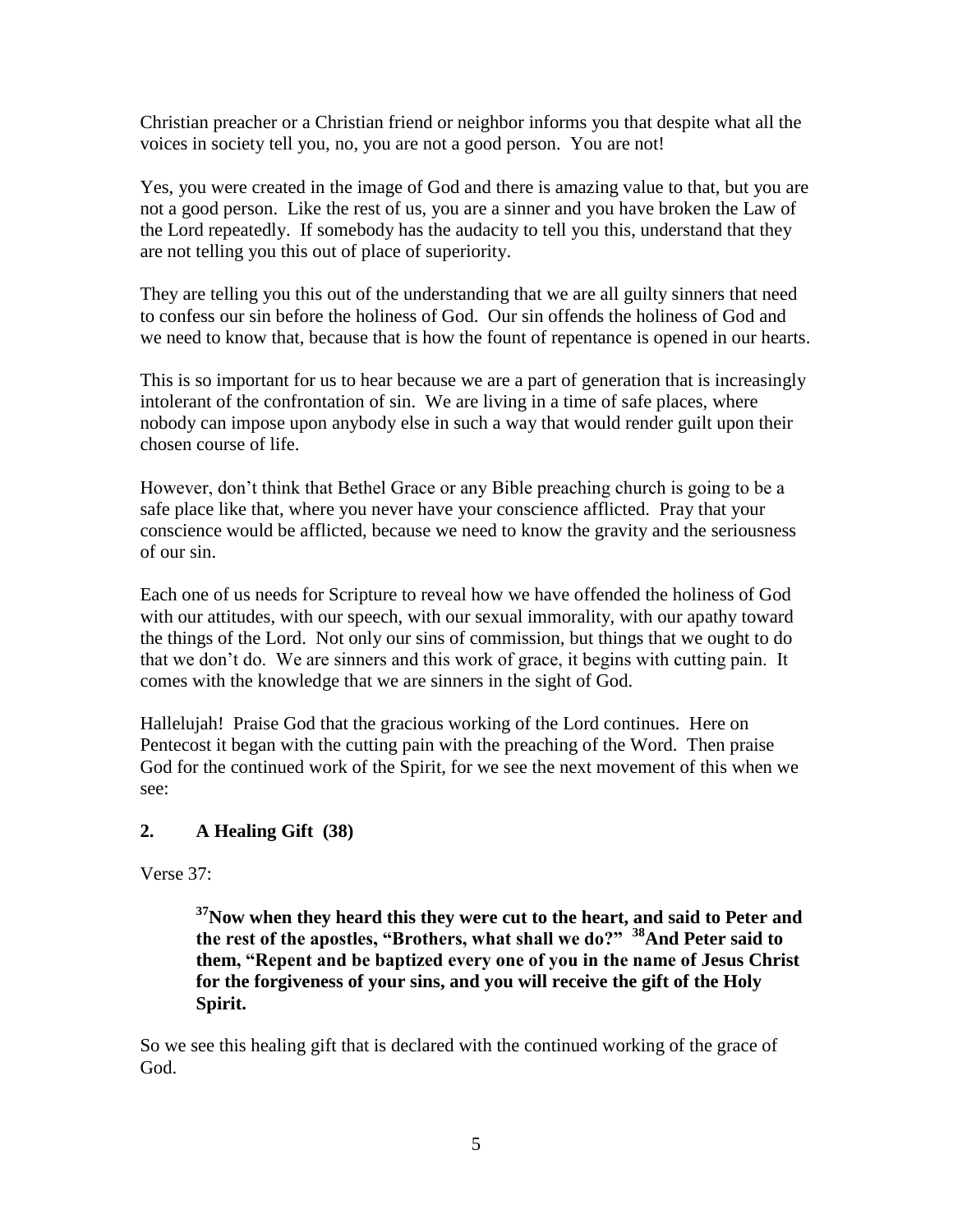Christian preacher or a Christian friend or neighbor informs you that despite what all the voices in society tell you, no, you are not a good person. You are not!

Yes, you were created in the image of God and there is amazing value to that, but you are not a good person. Like the rest of us, you are a sinner and you have broken the Law of the Lord repeatedly. If somebody has the audacity to tell you this, understand that they are not telling you this out of place of superiority.

They are telling you this out of the understanding that we are all guilty sinners that need to confess our sin before the holiness of God. Our sin offends the holiness of God and we need to know that, because that is how the fount of repentance is opened in our hearts.

This is so important for us to hear because we are a part of generation that is increasingly intolerant of the confrontation of sin. We are living in a time of safe places, where nobody can impose upon anybody else in such a way that would render guilt upon their chosen course of life.

However, don't think that Bethel Grace or any Bible preaching church is going to be a safe place like that, where you never have your conscience afflicted. Pray that your conscience would be afflicted, because we need to know the gravity and the seriousness of our sin.

Each one of us needs for Scripture to reveal how we have offended the holiness of God with our attitudes, with our speech, with our sexual immorality, with our apathy toward the things of the Lord. Not only our sins of commission, but things that we ought to do that we don't do. We are sinners and this work of grace, it begins with cutting pain. It comes with the knowledge that we are sinners in the sight of God.

Hallelujah! Praise God that the gracious working of the Lord continues. Here on Pentecost it began with the cutting pain with the preaching of the Word. Then praise God for the continued work of the Spirit, for we see the next movement of this when we see:

#### **2. A Healing Gift (38)**

Verse 37:

**<sup>37</sup>Now when they heard this they were cut to the heart, and said to Peter and the rest of the apostles, "Brothers, what shall we do?" <sup>38</sup>And Peter said to them, "Repent and be baptized every one of you in the name of Jesus Christ for the forgiveness of your sins, and you will receive the gift of the Holy Spirit.**

So we see this healing gift that is declared with the continued working of the grace of God.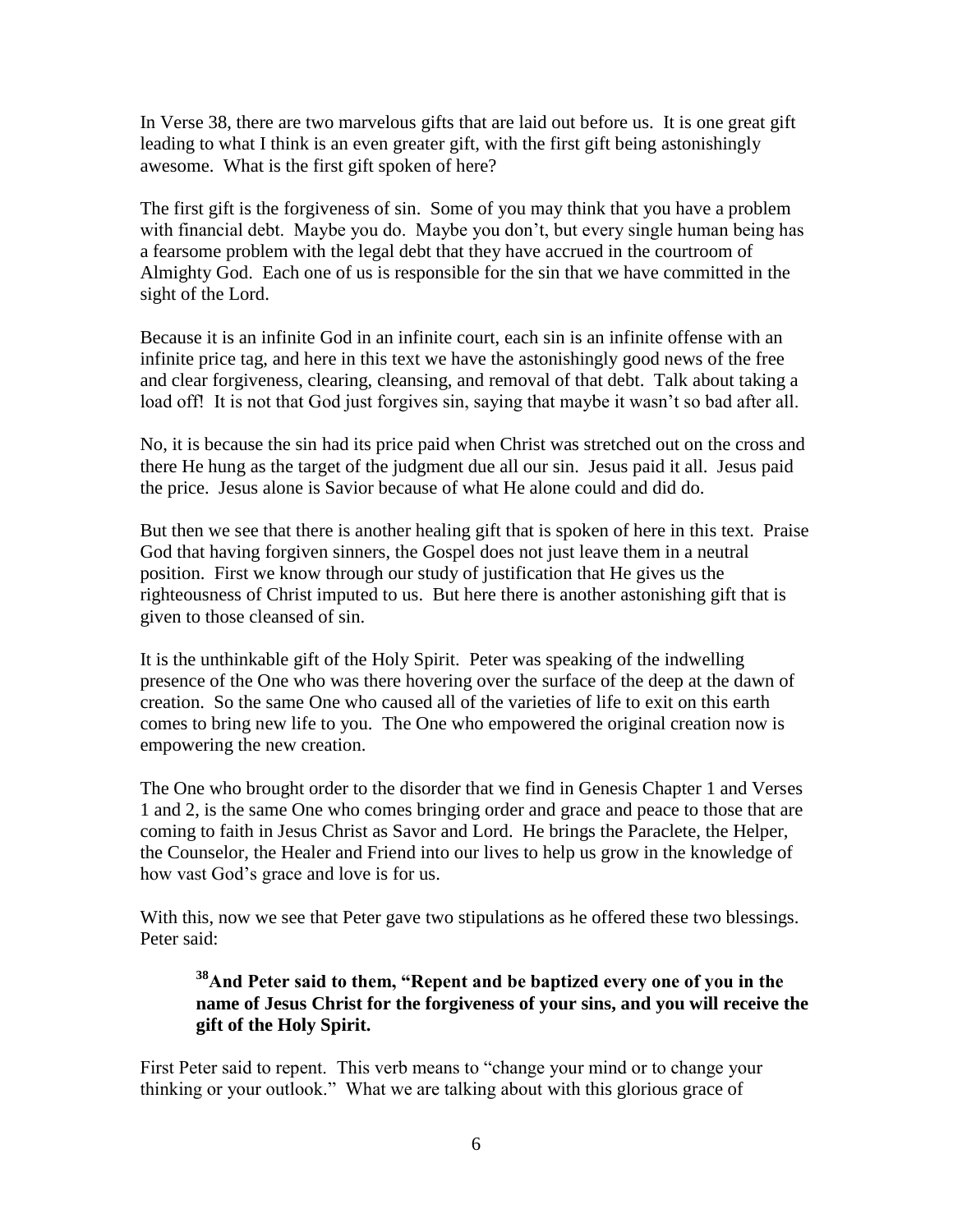In Verse 38, there are two marvelous gifts that are laid out before us. It is one great gift leading to what I think is an even greater gift, with the first gift being astonishingly awesome. What is the first gift spoken of here?

The first gift is the forgiveness of sin. Some of you may think that you have a problem with financial debt. Maybe you do. Maybe you don't, but every single human being has a fearsome problem with the legal debt that they have accrued in the courtroom of Almighty God. Each one of us is responsible for the sin that we have committed in the sight of the Lord.

Because it is an infinite God in an infinite court, each sin is an infinite offense with an infinite price tag, and here in this text we have the astonishingly good news of the free and clear forgiveness, clearing, cleansing, and removal of that debt. Talk about taking a load off! It is not that God just forgives sin, saying that maybe it wasn't so bad after all.

No, it is because the sin had its price paid when Christ was stretched out on the cross and there He hung as the target of the judgment due all our sin. Jesus paid it all. Jesus paid the price. Jesus alone is Savior because of what He alone could and did do.

But then we see that there is another healing gift that is spoken of here in this text. Praise God that having forgiven sinners, the Gospel does not just leave them in a neutral position. First we know through our study of justification that He gives us the righteousness of Christ imputed to us. But here there is another astonishing gift that is given to those cleansed of sin.

It is the unthinkable gift of the Holy Spirit. Peter was speaking of the indwelling presence of the One who was there hovering over the surface of the deep at the dawn of creation. So the same One who caused all of the varieties of life to exit on this earth comes to bring new life to you. The One who empowered the original creation now is empowering the new creation.

The One who brought order to the disorder that we find in Genesis Chapter 1 and Verses 1 and 2, is the same One who comes bringing order and grace and peace to those that are coming to faith in Jesus Christ as Savor and Lord. He brings the Paraclete, the Helper, the Counselor, the Healer and Friend into our lives to help us grow in the knowledge of how vast God's grace and love is for us.

With this, now we see that Peter gave two stipulations as he offered these two blessings. Peter said:

# **<sup>38</sup>And Peter said to them, "Repent and be baptized every one of you in the name of Jesus Christ for the forgiveness of your sins, and you will receive the gift of the Holy Spirit.**

First Peter said to repent. This verb means to "change your mind or to change your thinking or your outlook." What we are talking about with this glorious grace of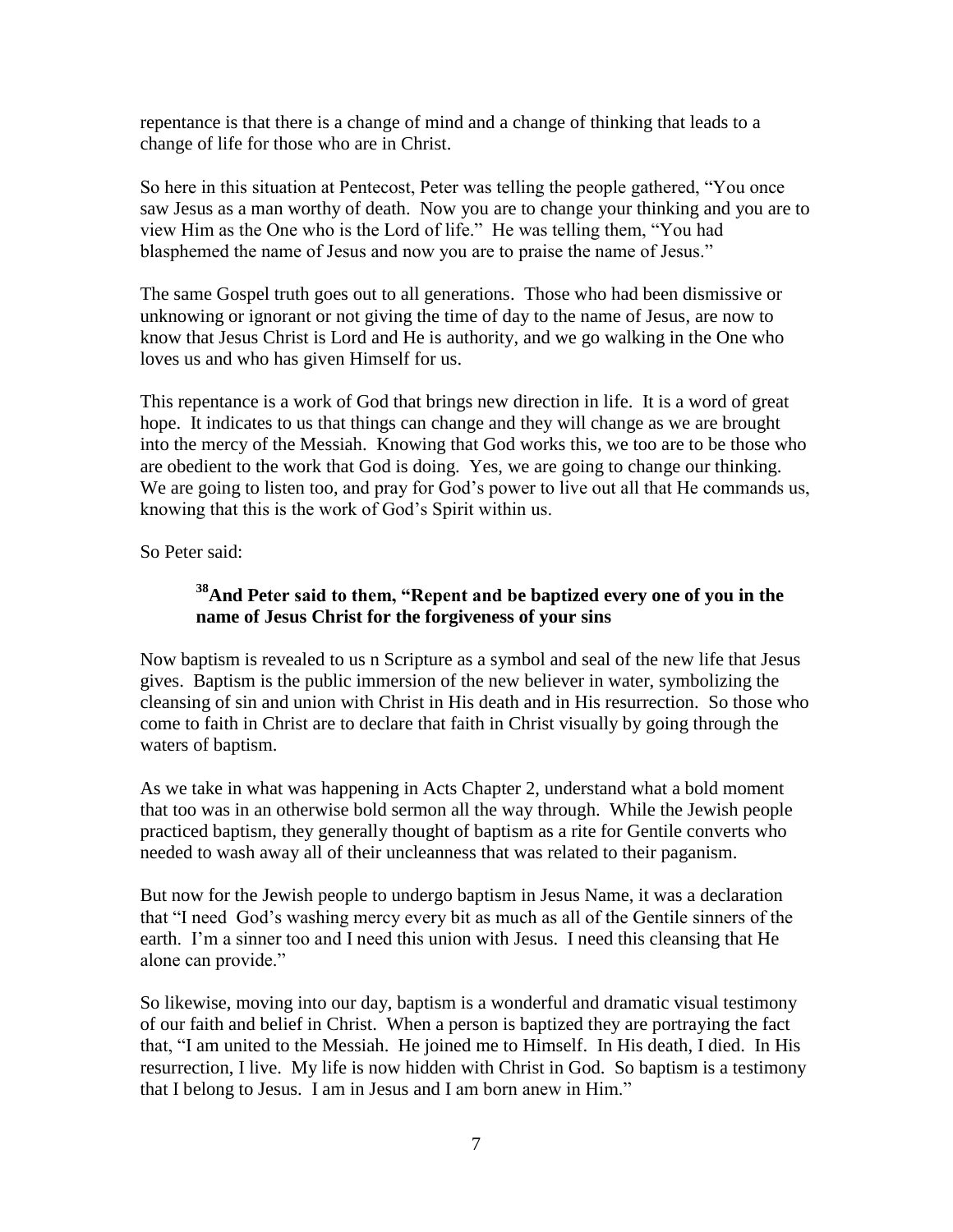repentance is that there is a change of mind and a change of thinking that leads to a change of life for those who are in Christ.

So here in this situation at Pentecost, Peter was telling the people gathered, "You once saw Jesus as a man worthy of death. Now you are to change your thinking and you are to view Him as the One who is the Lord of life." He was telling them, "You had blasphemed the name of Jesus and now you are to praise the name of Jesus."

The same Gospel truth goes out to all generations. Those who had been dismissive or unknowing or ignorant or not giving the time of day to the name of Jesus, are now to know that Jesus Christ is Lord and He is authority, and we go walking in the One who loves us and who has given Himself for us.

This repentance is a work of God that brings new direction in life. It is a word of great hope. It indicates to us that things can change and they will change as we are brought into the mercy of the Messiah. Knowing that God works this, we too are to be those who are obedient to the work that God is doing. Yes, we are going to change our thinking. We are going to listen too, and pray for God's power to live out all that He commands us, knowing that this is the work of God's Spirit within us.

So Peter said:

# **<sup>38</sup>And Peter said to them, "Repent and be baptized every one of you in the name of Jesus Christ for the forgiveness of your sins**

Now baptism is revealed to us n Scripture as a symbol and seal of the new life that Jesus gives. Baptism is the public immersion of the new believer in water, symbolizing the cleansing of sin and union with Christ in His death and in His resurrection. So those who come to faith in Christ are to declare that faith in Christ visually by going through the waters of baptism.

As we take in what was happening in Acts Chapter 2, understand what a bold moment that too was in an otherwise bold sermon all the way through. While the Jewish people practiced baptism, they generally thought of baptism as a rite for Gentile converts who needed to wash away all of their uncleanness that was related to their paganism.

But now for the Jewish people to undergo baptism in Jesus Name, it was a declaration that "I need God's washing mercy every bit as much as all of the Gentile sinners of the earth. I'm a sinner too and I need this union with Jesus. I need this cleansing that He alone can provide."

So likewise, moving into our day, baptism is a wonderful and dramatic visual testimony of our faith and belief in Christ. When a person is baptized they are portraying the fact that, "I am united to the Messiah. He joined me to Himself. In His death, I died. In His resurrection, I live. My life is now hidden with Christ in God. So baptism is a testimony that I belong to Jesus. I am in Jesus and I am born anew in Him."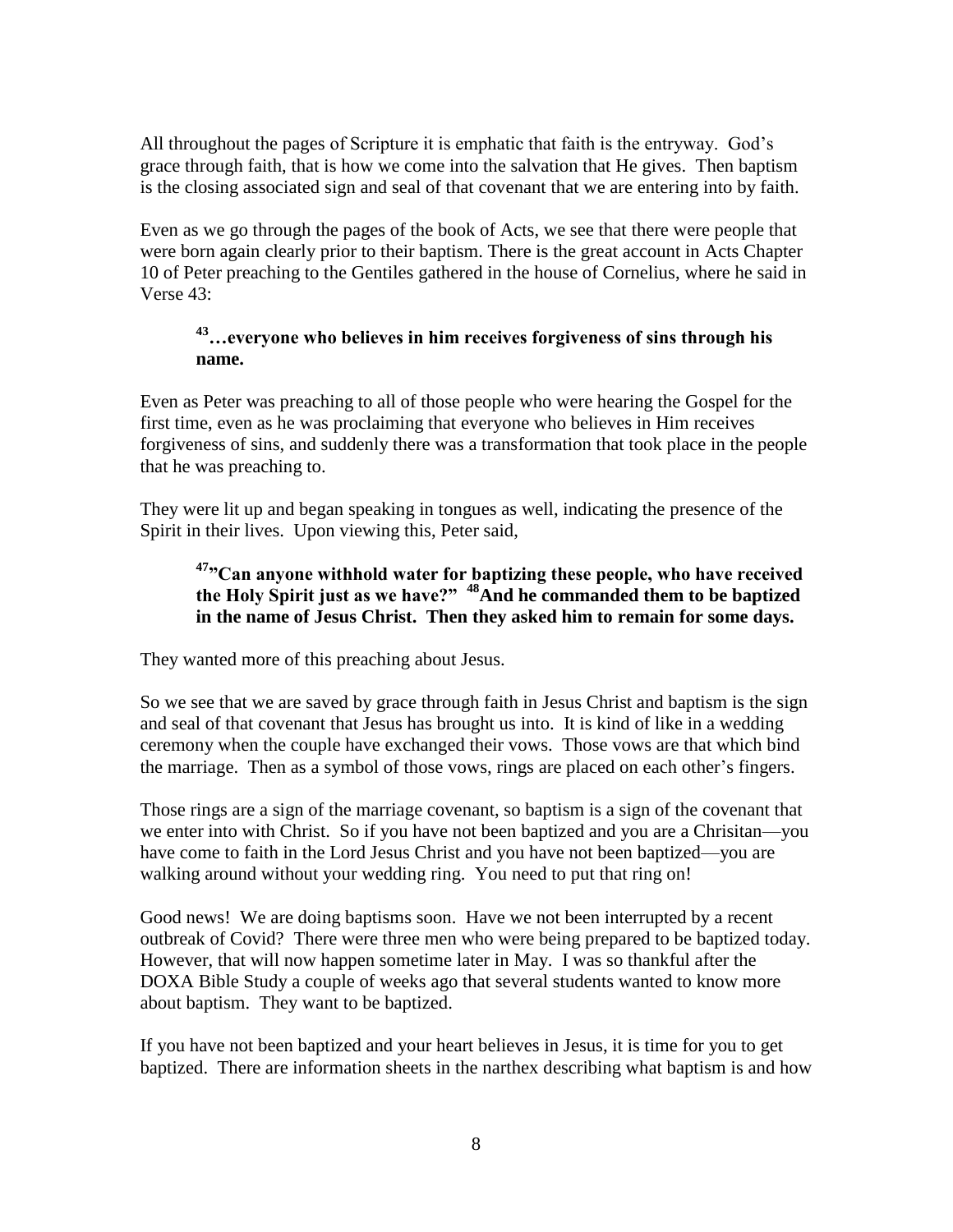All throughout the pages of Scripture it is emphatic that faith is the entryway. God's grace through faith, that is how we come into the salvation that He gives. Then baptism is the closing associated sign and seal of that covenant that we are entering into by faith.

Even as we go through the pages of the book of Acts, we see that there were people that were born again clearly prior to their baptism. There is the great account in Acts Chapter 10 of Peter preaching to the Gentiles gathered in the house of Cornelius, where he said in Verse 43:

# **<sup>43</sup>…everyone who believes in him receives forgiveness of sins through his name.**

Even as Peter was preaching to all of those people who were hearing the Gospel for the first time, even as he was proclaiming that everyone who believes in Him receives forgiveness of sins, and suddenly there was a transformation that took place in the people that he was preaching to.

They were lit up and began speaking in tongues as well, indicating the presence of the Spirit in their lives. Upon viewing this, Peter said,

# **<sup>47</sup>"Can anyone withhold water for baptizing these people, who have received the Holy Spirit just as we have?" <sup>48</sup>And he commanded them to be baptized in the name of Jesus Christ. Then they asked him to remain for some days.**

They wanted more of this preaching about Jesus.

So we see that we are saved by grace through faith in Jesus Christ and baptism is the sign and seal of that covenant that Jesus has brought us into. It is kind of like in a wedding ceremony when the couple have exchanged their vows. Those vows are that which bind the marriage. Then as a symbol of those vows, rings are placed on each other's fingers.

Those rings are a sign of the marriage covenant, so baptism is a sign of the covenant that we enter into with Christ. So if you have not been baptized and you are a Chrisitan—you have come to faith in the Lord Jesus Christ and you have not been baptized—you are walking around without your wedding ring. You need to put that ring on!

Good news! We are doing baptisms soon. Have we not been interrupted by a recent outbreak of Covid? There were three men who were being prepared to be baptized today. However, that will now happen sometime later in May. I was so thankful after the DOXA Bible Study a couple of weeks ago that several students wanted to know more about baptism. They want to be baptized.

If you have not been baptized and your heart believes in Jesus, it is time for you to get baptized. There are information sheets in the narthex describing what baptism is and how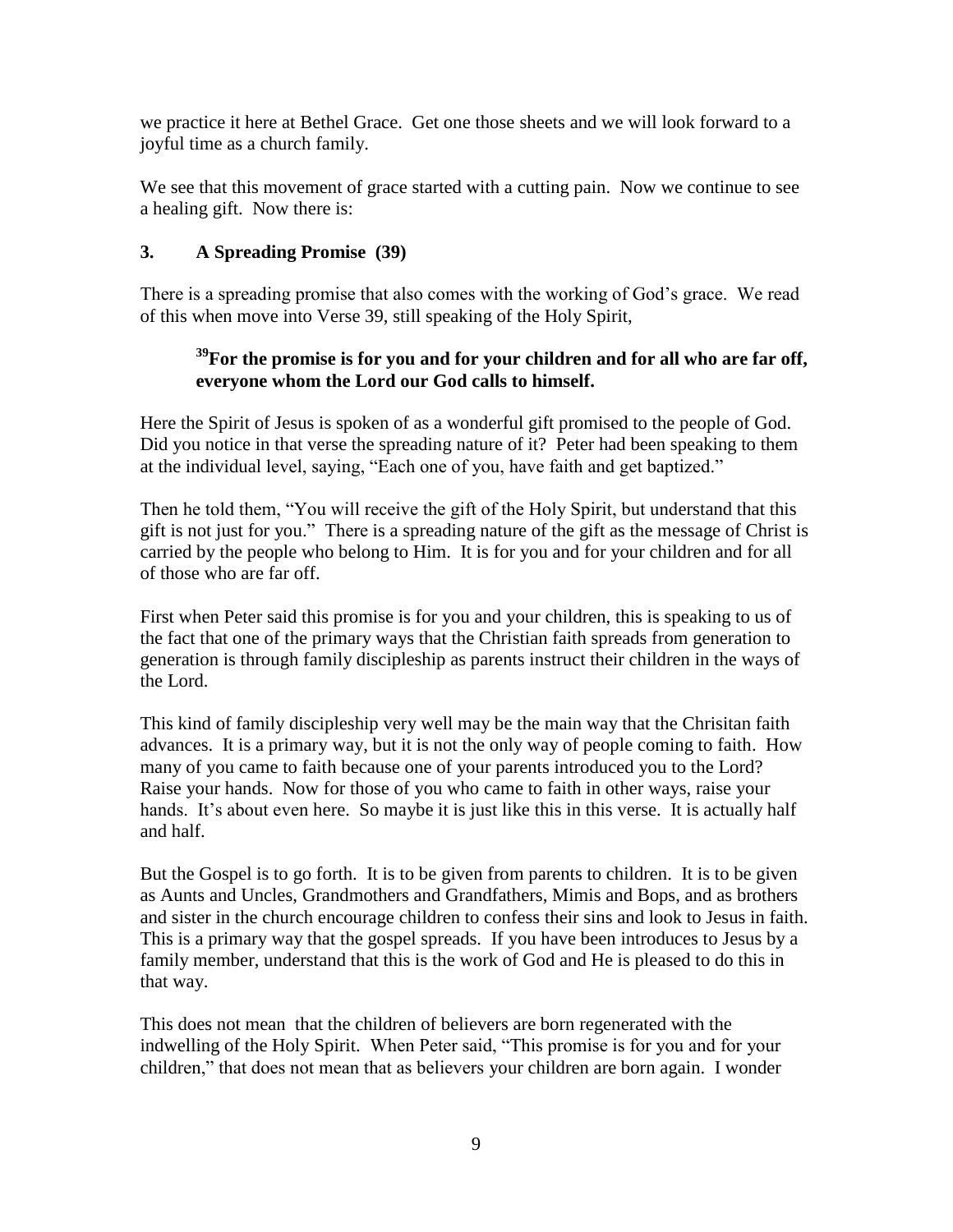we practice it here at Bethel Grace. Get one those sheets and we will look forward to a joyful time as a church family.

We see that this movement of grace started with a cutting pain. Now we continue to see a healing gift. Now there is:

### **3. A Spreading Promise (39)**

There is a spreading promise that also comes with the working of God's grace. We read of this when move into Verse 39, still speaking of the Holy Spirit,

# **<sup>39</sup>For the promise is for you and for your children and for all who are far off, everyone whom the Lord our God calls to himself.**

Here the Spirit of Jesus is spoken of as a wonderful gift promised to the people of God. Did you notice in that verse the spreading nature of it? Peter had been speaking to them at the individual level, saying, "Each one of you, have faith and get baptized."

Then he told them, "You will receive the gift of the Holy Spirit, but understand that this gift is not just for you." There is a spreading nature of the gift as the message of Christ is carried by the people who belong to Him. It is for you and for your children and for all of those who are far off.

First when Peter said this promise is for you and your children, this is speaking to us of the fact that one of the primary ways that the Christian faith spreads from generation to generation is through family discipleship as parents instruct their children in the ways of the Lord.

This kind of family discipleship very well may be the main way that the Chrisitan faith advances. It is a primary way, but it is not the only way of people coming to faith. How many of you came to faith because one of your parents introduced you to the Lord? Raise your hands. Now for those of you who came to faith in other ways, raise your hands. It's about even here. So maybe it is just like this in this verse. It is actually half and half.

But the Gospel is to go forth. It is to be given from parents to children. It is to be given as Aunts and Uncles, Grandmothers and Grandfathers, Mimis and Bops, and as brothers and sister in the church encourage children to confess their sins and look to Jesus in faith. This is a primary way that the gospel spreads. If you have been introduces to Jesus by a family member, understand that this is the work of God and He is pleased to do this in that way.

This does not mean that the children of believers are born regenerated with the indwelling of the Holy Spirit. When Peter said, "This promise is for you and for your children," that does not mean that as believers your children are born again. I wonder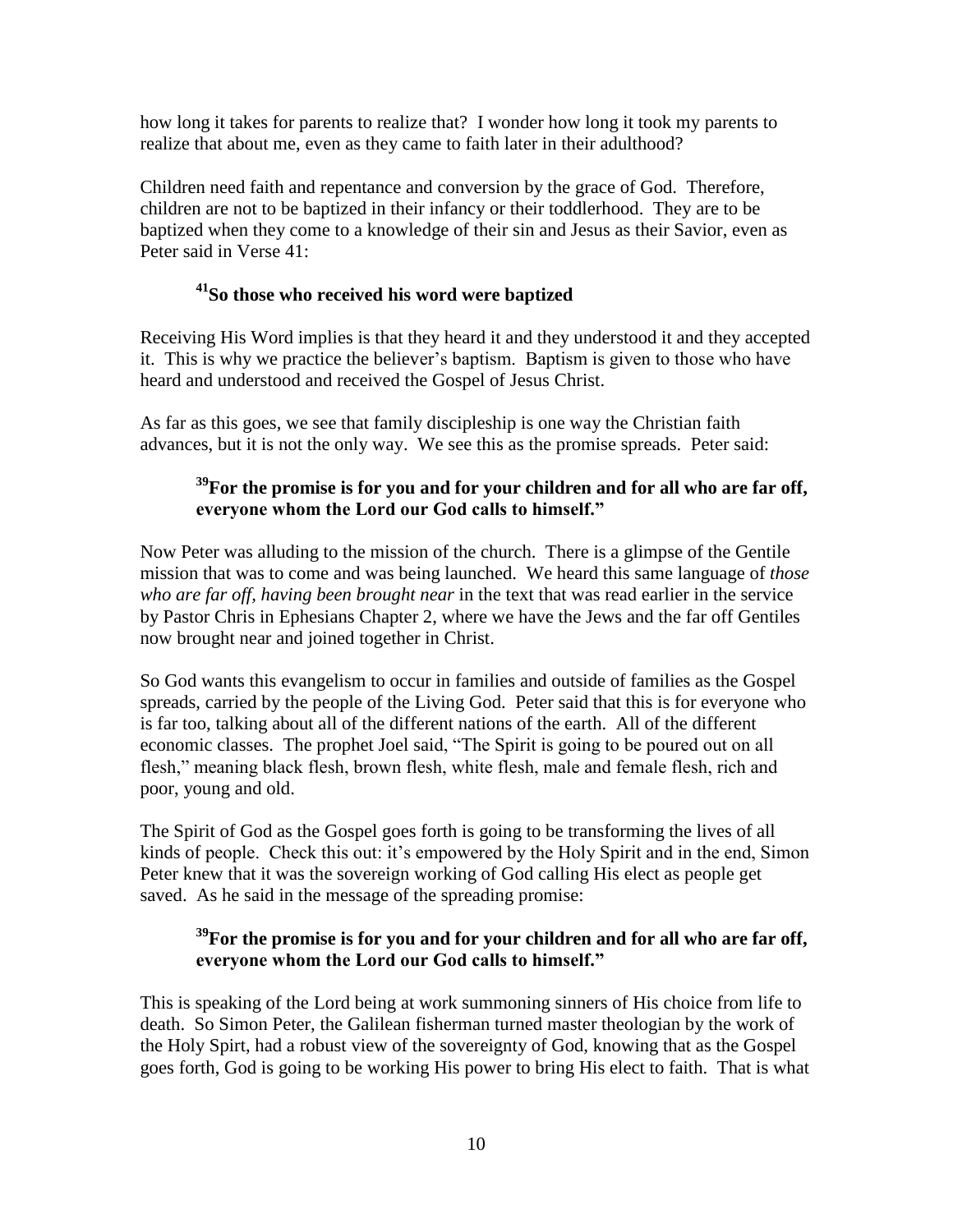how long it takes for parents to realize that? I wonder how long it took my parents to realize that about me, even as they came to faith later in their adulthood?

Children need faith and repentance and conversion by the grace of God. Therefore, children are not to be baptized in their infancy or their toddlerhood. They are to be baptized when they come to a knowledge of their sin and Jesus as their Savior, even as Peter said in Verse 41:

#### **<sup>41</sup>So those who received his word were baptized**

Receiving His Word implies is that they heard it and they understood it and they accepted it. This is why we practice the believer's baptism. Baptism is given to those who have heard and understood and received the Gospel of Jesus Christ.

As far as this goes, we see that family discipleship is one way the Christian faith advances, but it is not the only way. We see this as the promise spreads. Peter said:

### **<sup>39</sup>For the promise is for you and for your children and for all who are far off, everyone whom the Lord our God calls to himself."**

Now Peter was alluding to the mission of the church. There is a glimpse of the Gentile mission that was to come and was being launched. We heard this same language of *those who are far off, having been brought near* in the text that was read earlier in the service by Pastor Chris in Ephesians Chapter 2, where we have the Jews and the far off Gentiles now brought near and joined together in Christ.

So God wants this evangelism to occur in families and outside of families as the Gospel spreads, carried by the people of the Living God. Peter said that this is for everyone who is far too, talking about all of the different nations of the earth. All of the different economic classes. The prophet Joel said, "The Spirit is going to be poured out on all flesh," meaning black flesh, brown flesh, white flesh, male and female flesh, rich and poor, young and old.

The Spirit of God as the Gospel goes forth is going to be transforming the lives of all kinds of people. Check this out: it's empowered by the Holy Spirit and in the end, Simon Peter knew that it was the sovereign working of God calling His elect as people get saved. As he said in the message of the spreading promise:

# **<sup>39</sup>For the promise is for you and for your children and for all who are far off, everyone whom the Lord our God calls to himself."**

This is speaking of the Lord being at work summoning sinners of His choice from life to death. So Simon Peter, the Galilean fisherman turned master theologian by the work of the Holy Spirt, had a robust view of the sovereignty of God, knowing that as the Gospel goes forth, God is going to be working His power to bring His elect to faith. That is what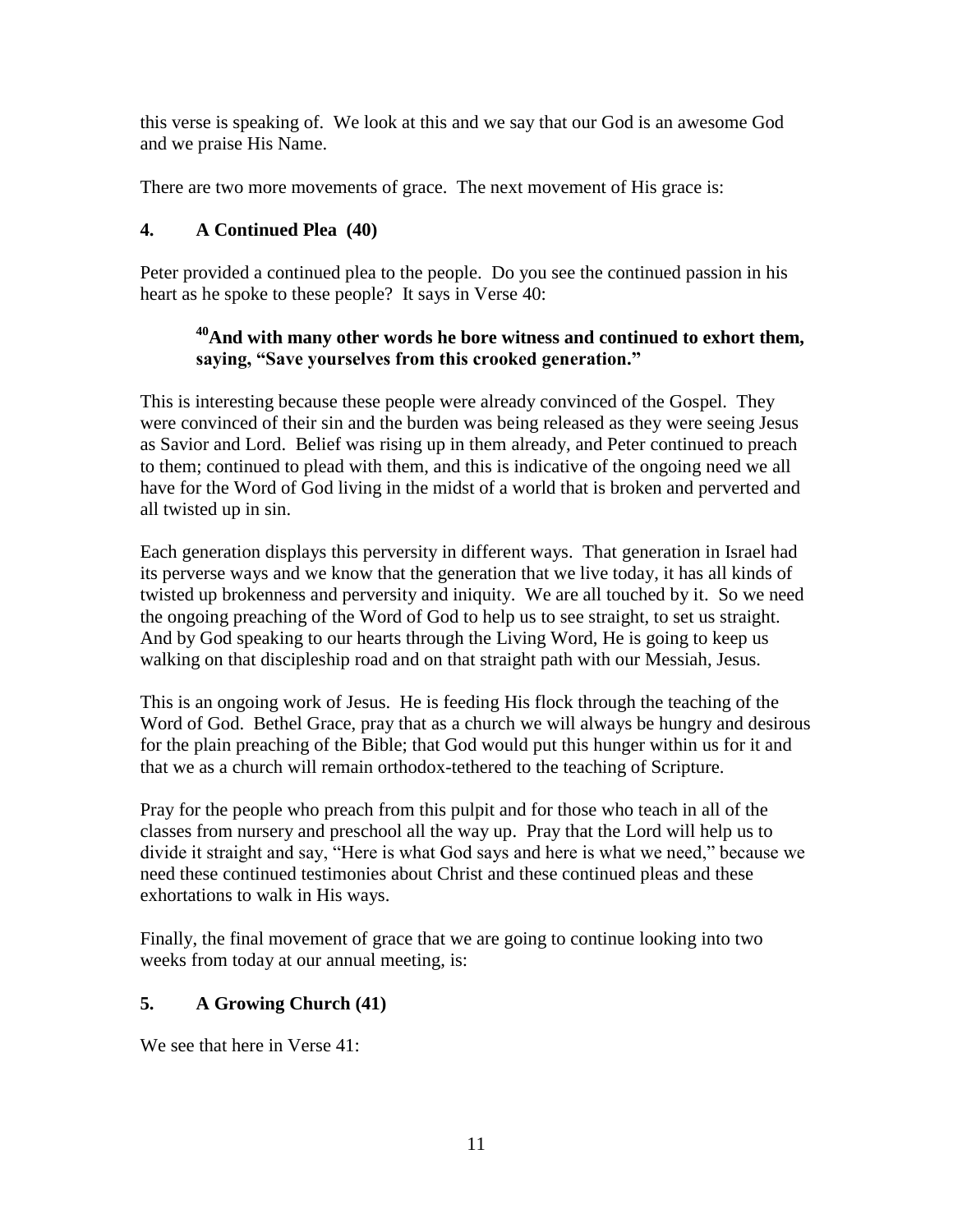this verse is speaking of. We look at this and we say that our God is an awesome God and we praise His Name.

There are two more movements of grace. The next movement of His grace is:

# **4. A Continued Plea (40)**

Peter provided a continued plea to the people. Do you see the continued passion in his heart as he spoke to these people? It says in Verse 40:

# **<sup>40</sup>And with many other words he bore witness and continued to exhort them, saying, "Save yourselves from this crooked generation."**

This is interesting because these people were already convinced of the Gospel. They were convinced of their sin and the burden was being released as they were seeing Jesus as Savior and Lord. Belief was rising up in them already, and Peter continued to preach to them; continued to plead with them, and this is indicative of the ongoing need we all have for the Word of God living in the midst of a world that is broken and perverted and all twisted up in sin.

Each generation displays this perversity in different ways. That generation in Israel had its perverse ways and we know that the generation that we live today, it has all kinds of twisted up brokenness and perversity and iniquity. We are all touched by it. So we need the ongoing preaching of the Word of God to help us to see straight, to set us straight. And by God speaking to our hearts through the Living Word, He is going to keep us walking on that discipleship road and on that straight path with our Messiah, Jesus.

This is an ongoing work of Jesus. He is feeding His flock through the teaching of the Word of God. Bethel Grace, pray that as a church we will always be hungry and desirous for the plain preaching of the Bible; that God would put this hunger within us for it and that we as a church will remain orthodox-tethered to the teaching of Scripture.

Pray for the people who preach from this pulpit and for those who teach in all of the classes from nursery and preschool all the way up. Pray that the Lord will help us to divide it straight and say, "Here is what God says and here is what we need," because we need these continued testimonies about Christ and these continued pleas and these exhortations to walk in His ways.

Finally, the final movement of grace that we are going to continue looking into two weeks from today at our annual meeting, is:

# **5. A Growing Church (41)**

We see that here in Verse 41: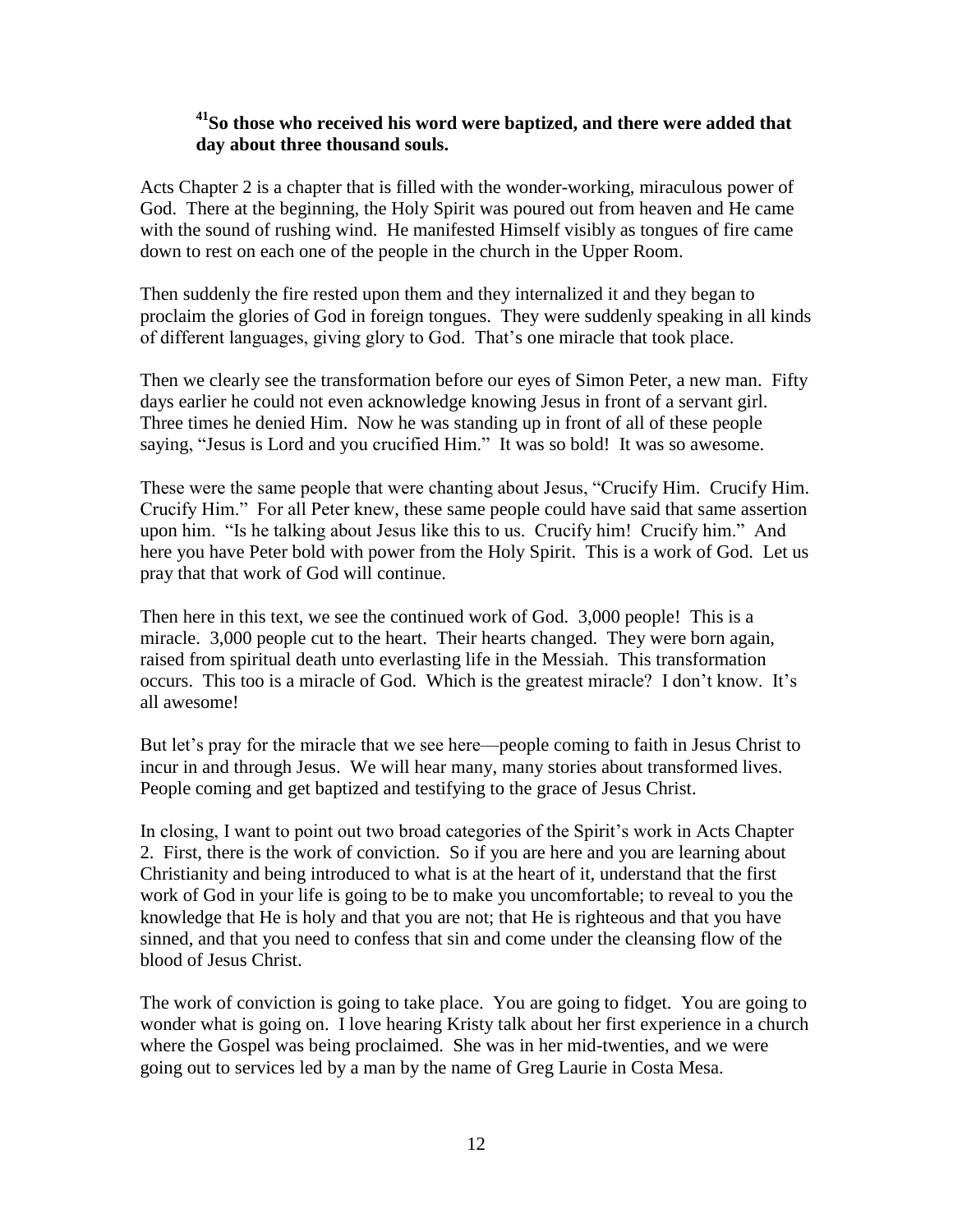# **<sup>41</sup>So those who received his word were baptized, and there were added that day about three thousand souls.**

Acts Chapter 2 is a chapter that is filled with the wonder-working, miraculous power of God. There at the beginning, the Holy Spirit was poured out from heaven and He came with the sound of rushing wind. He manifested Himself visibly as tongues of fire came down to rest on each one of the people in the church in the Upper Room.

Then suddenly the fire rested upon them and they internalized it and they began to proclaim the glories of God in foreign tongues. They were suddenly speaking in all kinds of different languages, giving glory to God. That's one miracle that took place.

Then we clearly see the transformation before our eyes of Simon Peter, a new man. Fifty days earlier he could not even acknowledge knowing Jesus in front of a servant girl. Three times he denied Him. Now he was standing up in front of all of these people saying, "Jesus is Lord and you crucified Him." It was so bold! It was so awesome.

These were the same people that were chanting about Jesus, "Crucify Him. Crucify Him. Crucify Him." For all Peter knew, these same people could have said that same assertion upon him. "Is he talking about Jesus like this to us. Crucify him! Crucify him." And here you have Peter bold with power from the Holy Spirit. This is a work of God. Let us pray that that work of God will continue.

Then here in this text, we see the continued work of God. 3,000 people! This is a miracle. 3,000 people cut to the heart. Their hearts changed. They were born again, raised from spiritual death unto everlasting life in the Messiah. This transformation occurs. This too is a miracle of God. Which is the greatest miracle? I don't know. It's all awesome!

But let's pray for the miracle that we see here—people coming to faith in Jesus Christ to incur in and through Jesus. We will hear many, many stories about transformed lives. People coming and get baptized and testifying to the grace of Jesus Christ.

In closing, I want to point out two broad categories of the Spirit's work in Acts Chapter 2. First, there is the work of conviction. So if you are here and you are learning about Christianity and being introduced to what is at the heart of it, understand that the first work of God in your life is going to be to make you uncomfortable; to reveal to you the knowledge that He is holy and that you are not; that He is righteous and that you have sinned, and that you need to confess that sin and come under the cleansing flow of the blood of Jesus Christ.

The work of conviction is going to take place. You are going to fidget. You are going to wonder what is going on. I love hearing Kristy talk about her first experience in a church where the Gospel was being proclaimed. She was in her mid-twenties, and we were going out to services led by a man by the name of Greg Laurie in Costa Mesa.